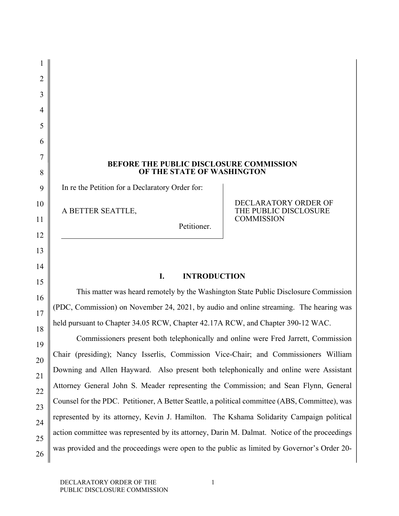# **BEFORE THE PUBLIC DISCLOSURE COMMISSION OF THE STATE OF WASHINGTON**

In re the Petition for a Declaratory Order for:

A BETTER SEATTLE,

1

2

3

4

5

6

7

8

9

10

11

12

13

14

15

16

17

18

19

20

21

22

23

24

25

26

DECLARATORY ORDER OF THE PUBLIC DISCLOSURE **COMMISSION** 

Petitioner.

### **I. INTRODUCTION**

This matter was heard remotely by the Washington State Public Disclosure Commission (PDC, Commission) on November 24, 2021, by audio and online streaming. The hearing was held pursuant to Chapter 34.05 RCW, Chapter 42.17A RCW, and Chapter 390-12 WAC.

Commissioners present both telephonically and online were Fred Jarrett, Commission Chair (presiding); Nancy Isserlis, Commission Vice-Chair; and Commissioners William Downing and Allen Hayward. Also present both telephonically and online were Assistant Attorney General John S. Meader representing the Commission; and Sean Flynn, General Counsel for the PDC. Petitioner, A Better Seattle, a political committee (ABS, Committee), was represented by its attorney, Kevin J. Hamilton. The Kshama Solidarity Campaign political action committee was represented by its attorney, Darin M. Dalmat. Notice of the proceedings was provided and the proceedings were open to the public as limited by Governor's Order 20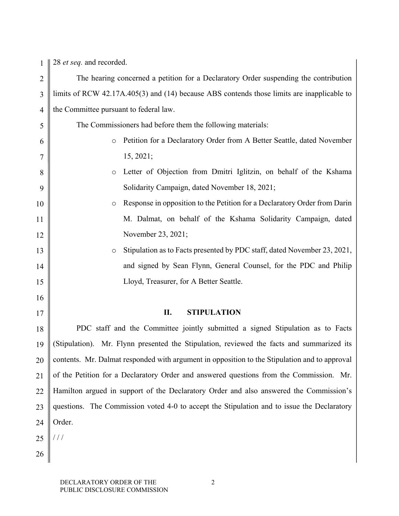1 28 *et seq.* and recorded.

| limits of RCW 42.17A.405(3) and (14) because ABS contends those limits are inapplicable to<br>3<br>the Committee pursuant to federal law.<br>$\overline{4}$ |  |
|-------------------------------------------------------------------------------------------------------------------------------------------------------------|--|
|                                                                                                                                                             |  |
|                                                                                                                                                             |  |
| The Commissioners had before them the following materials:<br>5                                                                                             |  |
| Petition for a Declaratory Order from A Better Seattle, dated November<br>6<br>$\circ$                                                                      |  |
| 15, 2021;<br>7                                                                                                                                              |  |
| Letter of Objection from Dmitri Iglitzin, on behalf of the Kshama<br>8<br>$\circ$                                                                           |  |
| Solidarity Campaign, dated November 18, 2021;<br>9                                                                                                          |  |
| Response in opposition to the Petition for a Declaratory Order from Darin<br>10<br>$\circ$                                                                  |  |
| M. Dalmat, on behalf of the Kshama Solidarity Campaign, dated<br>11                                                                                         |  |
| November 23, 2021;<br>12                                                                                                                                    |  |
| Stipulation as to Facts presented by PDC staff, dated November 23, 2021,<br>13<br>$\circ$                                                                   |  |
| and signed by Sean Flynn, General Counsel, for the PDC and Philip<br>14                                                                                     |  |
| Lloyd, Treasurer, for A Better Seattle.<br>15                                                                                                               |  |
| 16                                                                                                                                                          |  |
| II.<br><b>STIPULATION</b><br>17                                                                                                                             |  |
| PDC staff and the Committee jointly submitted a signed Stipulation as to Facts<br>18                                                                        |  |
| (Stipulation). Mr. Flynn presented the Stipulation, reviewed the facts and summarized its<br>19                                                             |  |
| contents. Mr. Dalmat responded with argument in opposition to the Stipulation and to approval<br>20                                                         |  |
| of the Petition for a Declaratory Order and answered questions from the Commission. Mr.<br>21                                                               |  |
| Hamilton argued in support of the Declaratory Order and also answered the Commission's<br>22                                                                |  |
|                                                                                                                                                             |  |
| questions. The Commission voted 4-0 to accept the Stipulation and to issue the Declaratory<br>23                                                            |  |
| Order.<br>24                                                                                                                                                |  |
| 111<br>25                                                                                                                                                   |  |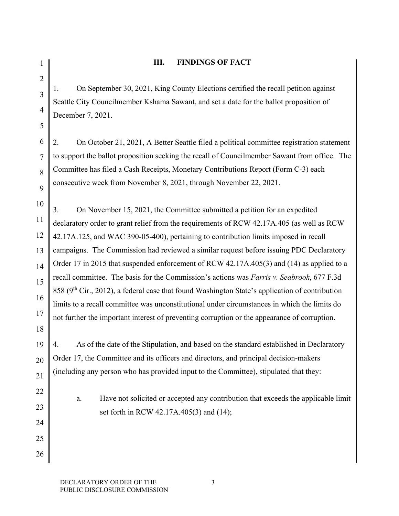4

5

18

19

20

21

22

23

24

25

26

1

## **III. FINDINGS OF FACT**

1. On September 30, 2021, King County Elections certified the recall petition against Seattle City Councilmember Kshama Sawant, and set a date for the ballot proposition of December 7, 2021.

6 7 8 9 2. On October 21, 2021, A Better Seattle filed a political committee registration statement to support the ballot proposition seeking the recall of Councilmember Sawant from office. The Committee has filed a Cash Receipts, Monetary Contributions Report (Form C-3) each consecutive week from November 8, 2021, through November 22, 2021.

10 11 12 13 14 15 16 17 3. On November 15, 2021, the Committee submitted a petition for an expedited declaratory order to grant relief from the requirements of RCW 42.17A.405 (as well as RCW 42.17A.125, and WAC 390-05-400), pertaining to contribution limits imposed in recall campaigns. The Commission had reviewed a similar request before issuing PDC Declaratory Order 17 in 2015 that suspended enforcement of RCW 42.17A.405(3) and (14) as applied to a recall committee. The basis for the Commission's actions was *Farris v. Seabrook*, 677 F.3d 858 ( $9<sup>th</sup> Cir., 2012$ ), a federal case that found Washington State's application of contribution limits to a recall committee was unconstitutional under circumstances in which the limits do not further the important interest of preventing corruption or the appearance of corruption.

4. As of the date of the Stipulation, and based on the standard established in Declaratory Order 17, the Committee and its officers and directors, and principal decision-makers (including any person who has provided input to the Committee), stipulated that they:

a. Have not solicited or accepted any contribution that exceeds the applicable limit set forth in RCW 42.17A.405(3) and (14);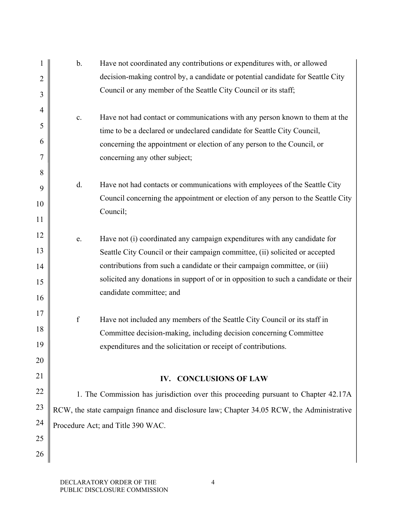| 1              | $\mathbf b$ .                                                                             | Have not coordinated any contributions or expenditures with, or allowed                                                                            |  |
|----------------|-------------------------------------------------------------------------------------------|----------------------------------------------------------------------------------------------------------------------------------------------------|--|
| $\overline{2}$ |                                                                                           | decision-making control by, a candidate or potential candidate for Seattle City                                                                    |  |
| 3              |                                                                                           | Council or any member of the Seattle City Council or its staff;                                                                                    |  |
| 4              |                                                                                           |                                                                                                                                                    |  |
| 5              | c.                                                                                        | Have not had contact or communications with any person known to them at the                                                                        |  |
| 6              |                                                                                           | time to be a declared or undeclared candidate for Seattle City Council,<br>concerning the appointment or election of any person to the Council, or |  |
| 7              |                                                                                           | concerning any other subject;                                                                                                                      |  |
| 8              |                                                                                           |                                                                                                                                                    |  |
| 9              | d.                                                                                        | Have not had contacts or communications with employees of the Seattle City                                                                         |  |
| 10             |                                                                                           | Council concerning the appointment or election of any person to the Seattle City                                                                   |  |
| 11             |                                                                                           | Council;                                                                                                                                           |  |
| 12             | e.                                                                                        | Have not (i) coordinated any campaign expenditures with any candidate for                                                                          |  |
| 13             |                                                                                           | Seattle City Council or their campaign committee, (ii) solicited or accepted                                                                       |  |
| 14             |                                                                                           | contributions from such a candidate or their campaign committee, or (iii)                                                                          |  |
| 15             |                                                                                           | solicited any donations in support of or in opposition to such a candidate or their                                                                |  |
| 16             |                                                                                           | candidate committee; and                                                                                                                           |  |
| 17             |                                                                                           |                                                                                                                                                    |  |
| 18             | $\mathbf f$                                                                               | Have not included any members of the Seattle City Council or its staff in                                                                          |  |
| 19             |                                                                                           | Committee decision-making, including decision concerning Committee<br>expenditures and the solicitation or receipt of contributions.               |  |
| 20             |                                                                                           |                                                                                                                                                    |  |
| 21             |                                                                                           |                                                                                                                                                    |  |
| 22             |                                                                                           | IV. CONCLUSIONS OF LAW                                                                                                                             |  |
|                |                                                                                           | 1. The Commission has jurisdiction over this proceeding pursuant to Chapter 42.17A                                                                 |  |
| 23             | RCW, the state campaign finance and disclosure law; Chapter 34.05 RCW, the Administrative |                                                                                                                                                    |  |
| 24             |                                                                                           | Procedure Act; and Title 390 WAC.                                                                                                                  |  |
| 25             |                                                                                           |                                                                                                                                                    |  |
| 26             |                                                                                           |                                                                                                                                                    |  |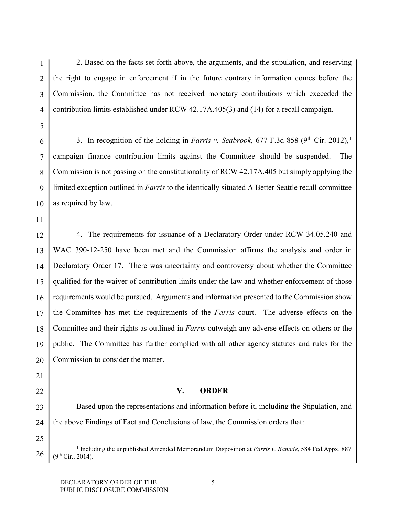1 4 2. Based on the facts set forth above, the arguments, and the stipulation, and reserving the right to engage in enforcement if in the future contrary information comes before the Commission, the Committee has not received monetary contributions which exceeded the contribution limits established under RCW 42.17A.405(3) and (14) for a recall campaign.

6 7 8 9 10 3. In recognition of the holding in *Farris v. Seabrook*, 677 F.3d 858 ( $9<sup>th</sup>$  Cir. 20[1](#page-4-0)2),<sup>1</sup> campaign finance contribution limits against the Committee should be suspended. The Commission is not passing on the constitutionality of RCW 42.17A.405 but simply applying the limited exception outlined in *Farris* to the identically situated A Better Seattle recall committee as required by law.

11

2

3

5

12 13 14 15 16 17 18 19 20 4. The requirements for issuance of a Declaratory Order under RCW 34.05.240 and WAC 390-12-250 have been met and the Commission affirms the analysis and order in Declaratory Order 17. There was uncertainty and controversy about whether the Committee qualified for the waiver of contribution limits under the law and whether enforcement of those requirements would be pursued. Arguments and information presented to the Commission show the Committee has met the requirements of the *Farris* court. The adverse effects on the Committee and their rights as outlined in *Farris* outweigh any adverse effects on others or the public. The Committee has further complied with all other agency statutes and rules for the Commission to consider the matter.

21

# 22

25

### **V. ORDER**

23 24 Based upon the representations and information before it, including the Stipulation, and the above Findings of Fact and Conclusions of law, the Commission orders that:

<span id="page-4-0"></span><sup>26</sup> 1 Including the unpublished Amended Memorandum Disposition at *Farris v. Ranade*, 584 Fed.Appx. 887  $(9<sup>th</sup> Cir., 2014).$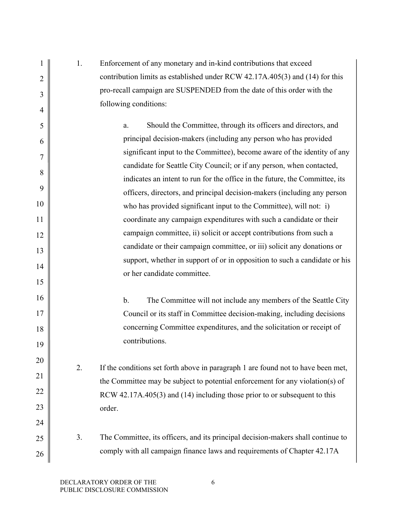|    | 1. | Enforcement of any monetary and in-kind contributions that exceed                                                                                          |
|----|----|------------------------------------------------------------------------------------------------------------------------------------------------------------|
| 2  |    | contribution limits as established under RCW 42.17A.405(3) and (14) for this                                                                               |
| 3  |    | pro-recall campaign are SUSPENDED from the date of this order with the                                                                                     |
| 4  |    | following conditions:                                                                                                                                      |
| 5  |    | Should the Committee, through its officers and directors, and<br>a.                                                                                        |
| 6  |    | principal decision-makers (including any person who has provided                                                                                           |
| 7  |    | significant input to the Committee), become aware of the identity of any                                                                                   |
| 8  |    | candidate for Seattle City Council; or if any person, when contacted,                                                                                      |
|    |    | indicates an intent to run for the office in the future, the Committee, its                                                                                |
| 9  |    | officers, directors, and principal decision-makers (including any person                                                                                   |
| 10 |    | who has provided significant input to the Committee), will not: i)                                                                                         |
| 11 |    | coordinate any campaign expenditures with such a candidate or their                                                                                        |
| 12 |    | campaign committee, ii) solicit or accept contributions from such a                                                                                        |
| 13 |    | candidate or their campaign committee, or iii) solicit any donations or                                                                                    |
| 14 |    | support, whether in support of or in opposition to such a candidate or his                                                                                 |
|    |    | or her candidate committee.                                                                                                                                |
| 15 |    |                                                                                                                                                            |
| 16 |    | b.<br>The Committee will not include any members of the Seattle City                                                                                       |
| 17 |    | Council or its staff in Committee decision-making, including decisions                                                                                     |
| 18 |    | concerning Committee expenditures, and the solicitation or receipt of                                                                                      |
| 19 |    | contributions.                                                                                                                                             |
| 20 |    |                                                                                                                                                            |
| 21 | 2. | If the conditions set forth above in paragraph 1 are found not to have been met,                                                                           |
| 22 |    | the Committee may be subject to potential enforcement for any violation(s) of<br>RCW 42.17A.405(3) and (14) including those prior to or subsequent to this |
| 23 |    | order.                                                                                                                                                     |
| 24 |    |                                                                                                                                                            |
| 25 | 3. | The Committee, its officers, and its principal decision-makers shall continue to                                                                           |
|    |    | comply with all campaign finance laws and requirements of Chapter 42.17A                                                                                   |
| 26 |    |                                                                                                                                                            |